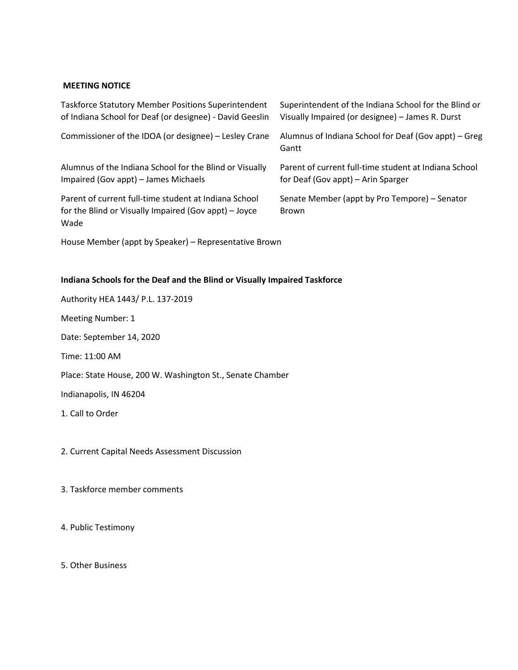## **MEETING NOTICE**

| <b>Taskforce Statutory Member Positions Superintendent</b>                                                             | Superintendent of the Indiana School for the Blind or         |
|------------------------------------------------------------------------------------------------------------------------|---------------------------------------------------------------|
| of Indiana School for Deaf (or designee) - David Geeslin                                                               | Visually Impaired (or designee) - James R. Durst              |
| Commissioner of the IDOA (or designee) – Lesley Crane                                                                  | Alumnus of Indiana School for Deaf (Gov appt) – Greg<br>Gantt |
| Alumnus of the Indiana School for the Blind or Visually                                                                | Parent of current full-time student at Indiana School         |
| Impaired (Gov appt) – James Michaels                                                                                   | for Deaf (Gov appt) – Arin Sparger                            |
| Parent of current full-time student at Indiana School<br>for the Blind or Visually Impaired (Gov appt) – Joyce<br>Wade | Senate Member (appt by Pro Tempore) - Senator<br><b>Brown</b> |

House Member (appt by Speaker) – Representative Brown

## **Indiana Schools for the Deaf and the Blind or Visually Impaired Taskforce**

| Authority HEA 1443/ P.L. 137-2019                         |
|-----------------------------------------------------------|
| Meeting Number: 1                                         |
| Date: September 14, 2020                                  |
| Time: 11:00 AM                                            |
| Place: State House, 200 W. Washington St., Senate Chamber |
| Indianapolis, IN 46204                                    |
| 1. Call to Order                                          |
|                                                           |

## 2. Current Capital Needs Assessment Discussion

3. Taskforce member comments

4. Public Testimony

5. Other Business